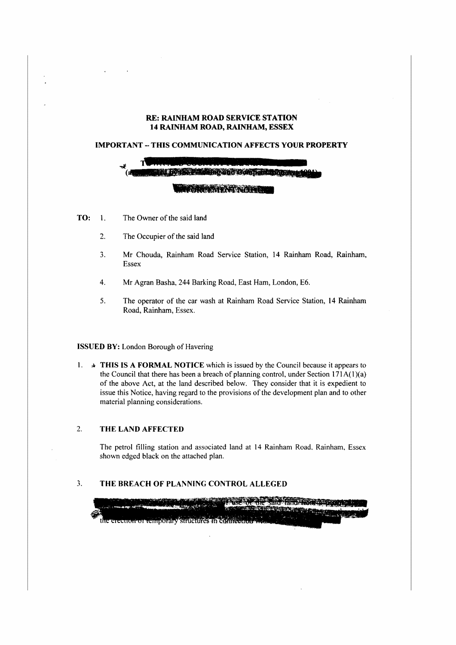#### **RE: RAINHAM ROAD SERVICE STATION 14 RAINHAM ROAD, RAINHAM, ESSEX**

#### **IMPORTANT - THIS COMMUNICATION AFFECTS YOUR PROPERTY**



- **TO:** I. The Owner of the said land
	- 2. The Occupier of the said land
	- 3. Mr Chouda, Rainham Road Service Station, 14 Rainham Road, Rainharn, Essex
	- 4. Mr Agran Basha, 244 Barking Road, East Ham, London, E6.
	- 5. The operator of the car wash at Rainham Road Service Station, 14 Rainham Road, Rainham, Essex.

#### **ISSUED BY:** London Borough of Havering

1.  $\rightarrow$  **THIS IS A FORMAL NOTICE** which is issued by the Council because it appears to the Council that there has been a breach of planning control, under Section 171 $A(1)(a)$ of the above Act, at the land described below. They consider that it is expedient to issue this Notice, having regard to the provisions of the development plan and to other material planning considerations.

## 2. **THE LAND AFFECTED**

The petrol filling station and associated land at 14 Rainham Road. Rainham, Essex shown edged black on the attached plan.

### 3. THE BREACH OF PLANNING CONTROL ALLEGED

the erection or temporary structures in comic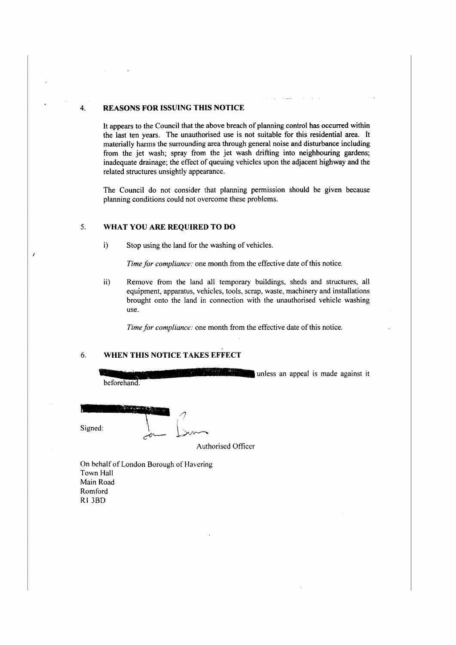## 4. **REASONS FOR ISSUING THIS NOTICE**

It appears to the Council that the above breach of planning control has occurred within the last ten years. The unauthorised use is not suitable for this residential area. It materially harms the surrounding area through general noise and disturbance including from the jet wash; spray from the jet wash drifting into neighbouring gardens; inadequate drainage; the effect of queuing vehicles upon the adjacent highway and the related structures unsightly appearance.

The Council do not consider that planning permission should be given because planning conditions could not overcome these problems.

#### 5. **WHAT YOU ARE REQUIRED TO DO**

 $\overline{1}$ 

i) Stop using the land for the washing of vehicles.

*Time for compliance:* one month from the effective date of this notice.

ii) Remove from the land all temporary buildings, sheds and structures, all equipment, apparatus, vehicles, tools, scrap, waste, machinery and installations brought onto the land in connection with the unauthorised vehicle washing use.

*Time for compliance:* one month from the effective date of this notice.

### 6. **WHEN THIS NOTICE TAKES EFFECT**

unless an appeal is made against it beforehand. Signed:  $\begin{matrix} 1 & 1 \end{matrix}$ Authoriscd Officer  $\sim$   $\sim$ 

On behalf of London Borough of Havering **Town Hall Main Road Romford Rt JBD**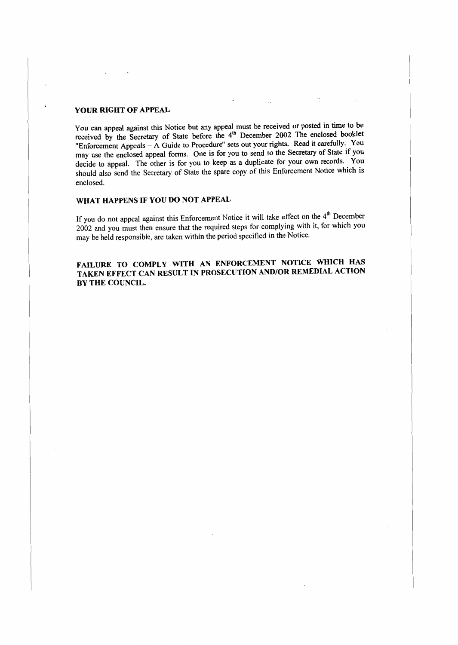## **YOUR RIGHT OF APPEAL**

You can appeal against this Notice but any appeal must be received or posted in time to be received by the Secretary of State before the 4<sup>th</sup> December 2002 The enclosed booklet "Enforcement Appeals -A Guide to Procedure" sets out your rights. Read it carefully. You may use the enclosed appeal forms. One is for you to send to the Secretary of State if you decide to appeal. The other is for you to keep as a duplicate for your own records. You should also send the Secretary of State the spare copy of this Enforcement Notice which is enclosed.

# **WHAT HAPPENS IF YOU DO NOT APPEAL**

If you do not appeal against this Enforcement Notice it will take effect on the  $4<sup>th</sup>$  December 2002 and you must then ensure that the required steps for complying with it, for which you may be held responsible, are taken within the period specified in the Notice.

# **FAILURE TO COMPLY WITH AN ENFORCEMENT NOTICE WHICH HAS TAKEN EFFECT CAN RESULT IN PROSECUTION AND/OR REMEDIAL ACTION BY THE COUNCIL.**